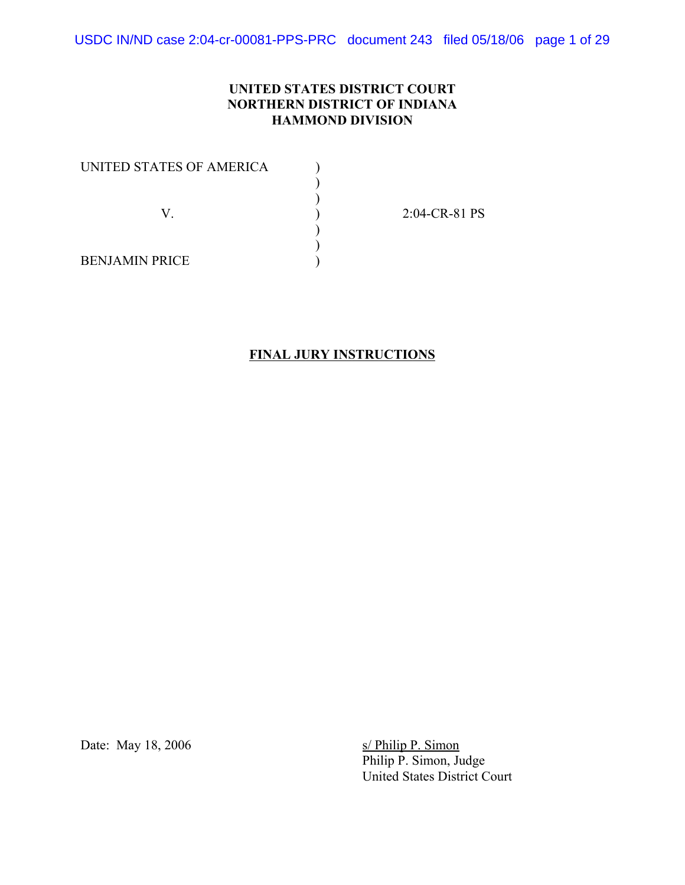USDC IN/ND case 2:04-cr-00081-PPS-PRC document 243 filed 05/18/06 page 1 of 29

### **UNITED STATES DISTRICT COURT NORTHERN DISTRICT OF INDIANA HAMMOND DIVISION**

| UNITED STATES OF AMERICA |               |
|--------------------------|---------------|
|                          |               |
|                          |               |
|                          | 2:04-CR-81 PS |
|                          |               |
|                          |               |
| <b>BENJAMIN PRICE</b>    |               |

### **FINAL JURY INSTRUCTIONS**

Date: May 18, 2006 s/ Philip P. Simon

Philip P. Simon, Judge United States District Court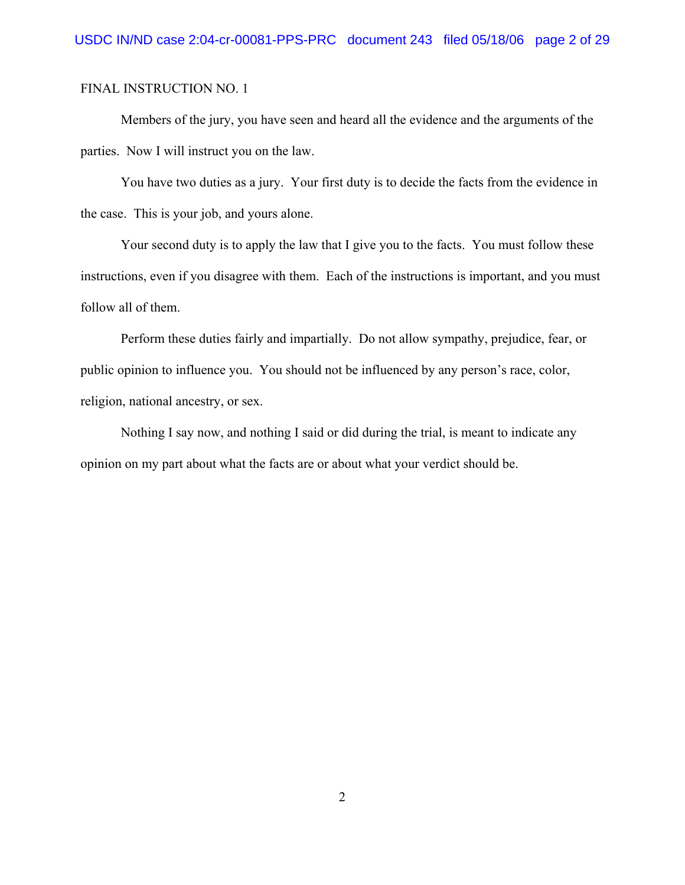Members of the jury, you have seen and heard all the evidence and the arguments of the parties. Now I will instruct you on the law.

You have two duties as a jury. Your first duty is to decide the facts from the evidence in the case. This is your job, and yours alone.

Your second duty is to apply the law that I give you to the facts. You must follow these instructions, even if you disagree with them. Each of the instructions is important, and you must follow all of them.

Perform these duties fairly and impartially. Do not allow sympathy, prejudice, fear, or public opinion to influence you. You should not be influenced by any person's race, color, religion, national ancestry, or sex.

Nothing I say now, and nothing I said or did during the trial, is meant to indicate any opinion on my part about what the facts are or about what your verdict should be.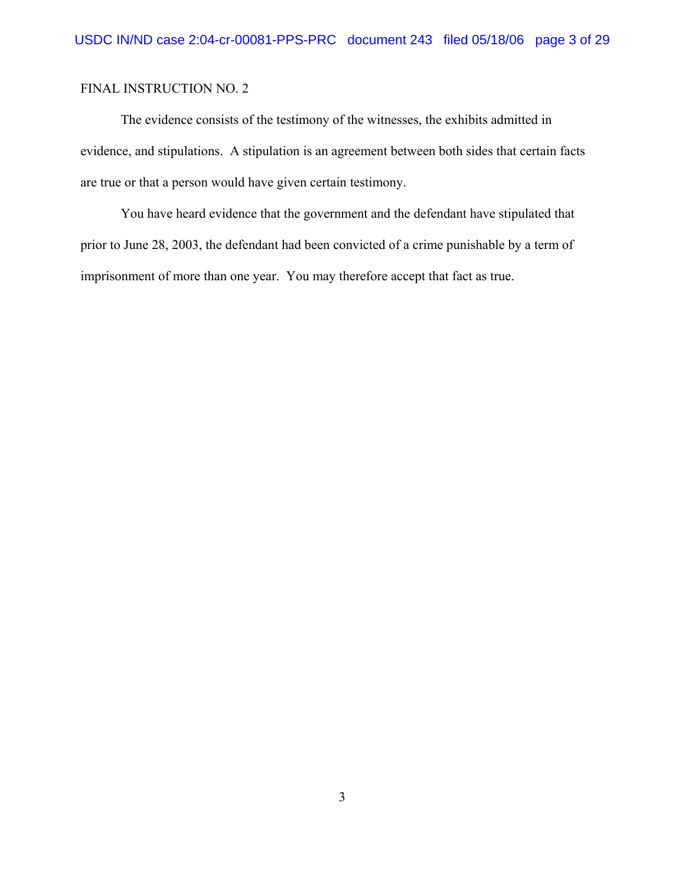The evidence consists of the testimony of the witnesses, the exhibits admitted in evidence, and stipulations. A stipulation is an agreement between both sides that certain facts are true or that a person would have given certain testimony.

You have heard evidence that the government and the defendant have stipulated that prior to June 28, 2003, the defendant had been convicted of a crime punishable by a term of imprisonment of more than one year. You may therefore accept that fact as true.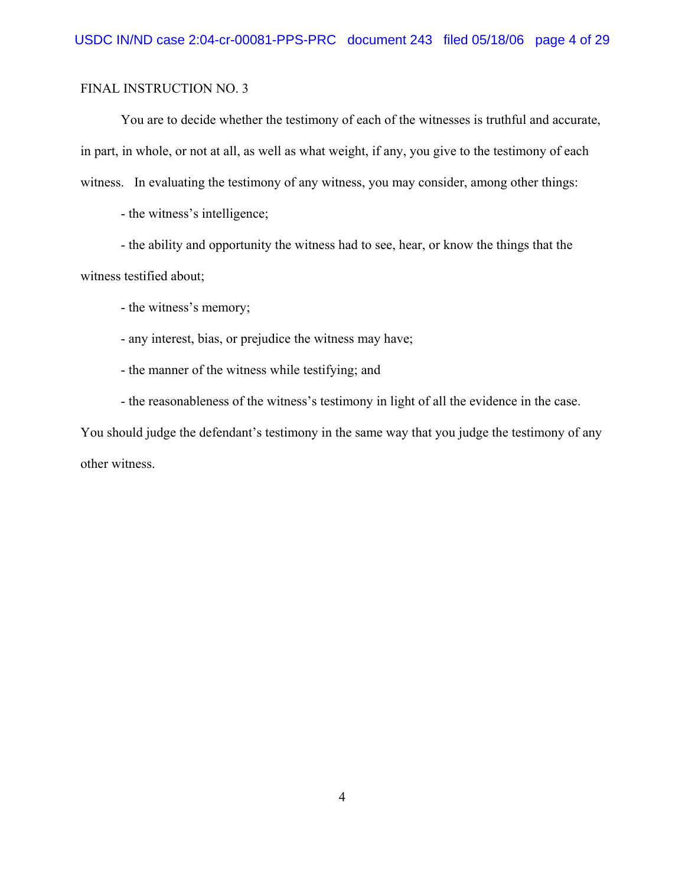You are to decide whether the testimony of each of the witnesses is truthful and accurate, in part, in whole, or not at all, as well as what weight, if any, you give to the testimony of each witness. In evaluating the testimony of any witness, you may consider, among other things:

- the witness's intelligence;

- the ability and opportunity the witness had to see, hear, or know the things that the witness testified about;

- the witness's memory;

- any interest, bias, or prejudice the witness may have;

- the manner of the witness while testifying; and

- the reasonableness of the witness's testimony in light of all the evidence in the case.

You should judge the defendant's testimony in the same way that you judge the testimony of any other witness.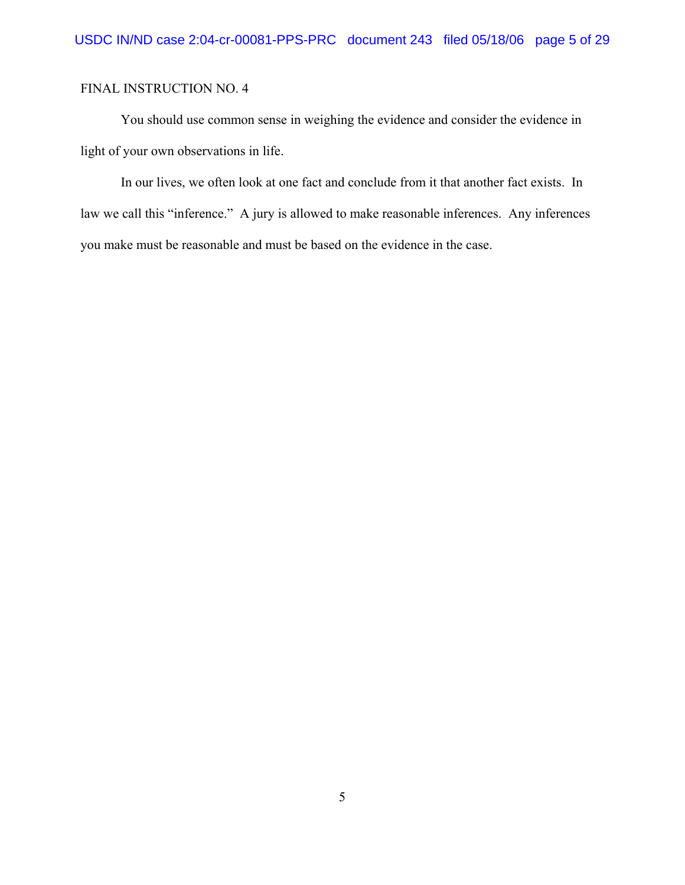You should use common sense in weighing the evidence and consider the evidence in light of your own observations in life.

In our lives, we often look at one fact and conclude from it that another fact exists. In law we call this "inference." A jury is allowed to make reasonable inferences. Any inferences you make must be reasonable and must be based on the evidence in the case.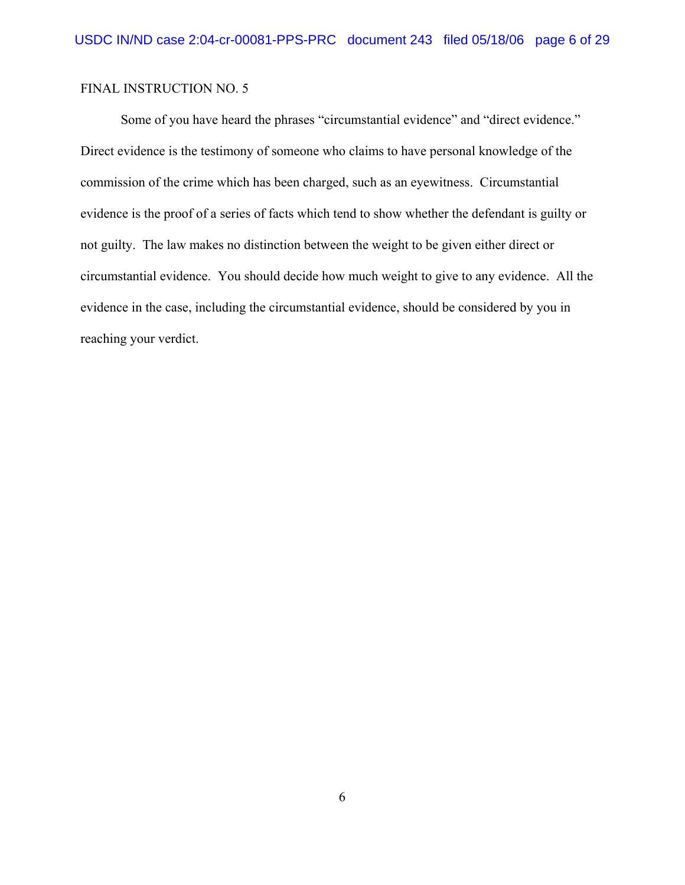Some of you have heard the phrases "circumstantial evidence" and "direct evidence." Direct evidence is the testimony of someone who claims to have personal knowledge of the commission of the crime which has been charged, such as an eyewitness. Circumstantial evidence is the proof of a series of facts which tend to show whether the defendant is guilty or not guilty. The law makes no distinction between the weight to be given either direct or circumstantial evidence. You should decide how much weight to give to any evidence. All the evidence in the case, including the circumstantial evidence, should be considered by you in reaching your verdict.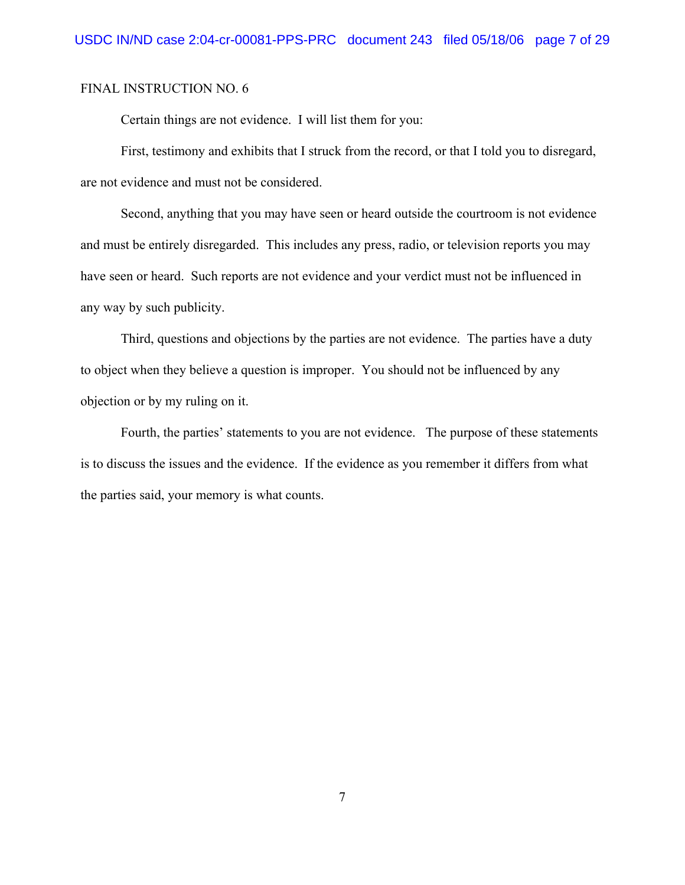Certain things are not evidence. I will list them for you:

First, testimony and exhibits that I struck from the record, or that I told you to disregard, are not evidence and must not be considered.

Second, anything that you may have seen or heard outside the courtroom is not evidence and must be entirely disregarded. This includes any press, radio, or television reports you may have seen or heard. Such reports are not evidence and your verdict must not be influenced in any way by such publicity.

Third, questions and objections by the parties are not evidence. The parties have a duty to object when they believe a question is improper. You should not be influenced by any objection or by my ruling on it.

Fourth, the parties' statements to you are not evidence. The purpose of these statements is to discuss the issues and the evidence. If the evidence as you remember it differs from what the parties said, your memory is what counts.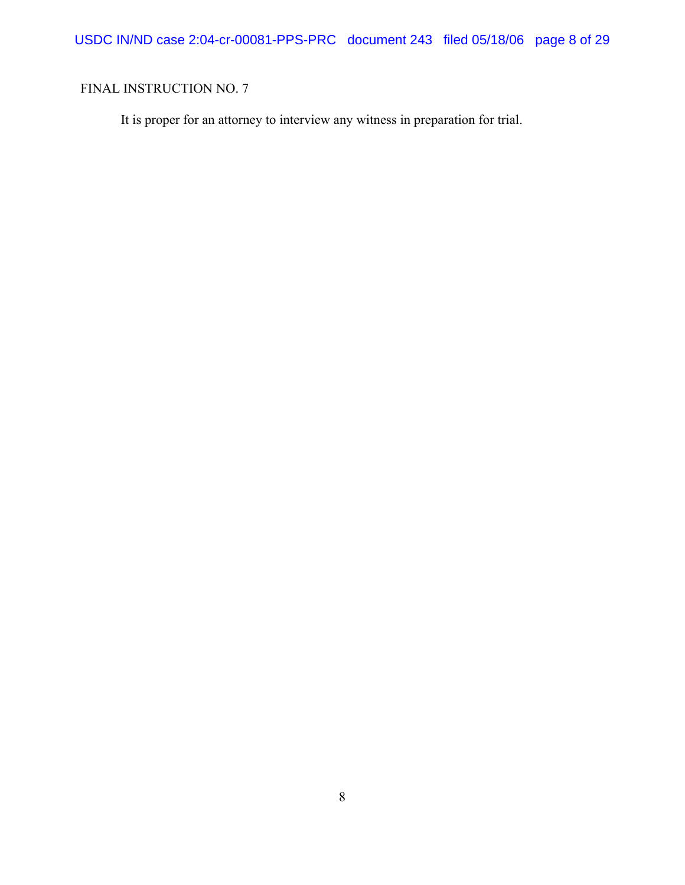USDC IN/ND case 2:04-cr-00081-PPS-PRC document 243 filed 05/18/06 page 8 of 29

# FINAL INSTRUCTION NO. 7

It is proper for an attorney to interview any witness in preparation for trial.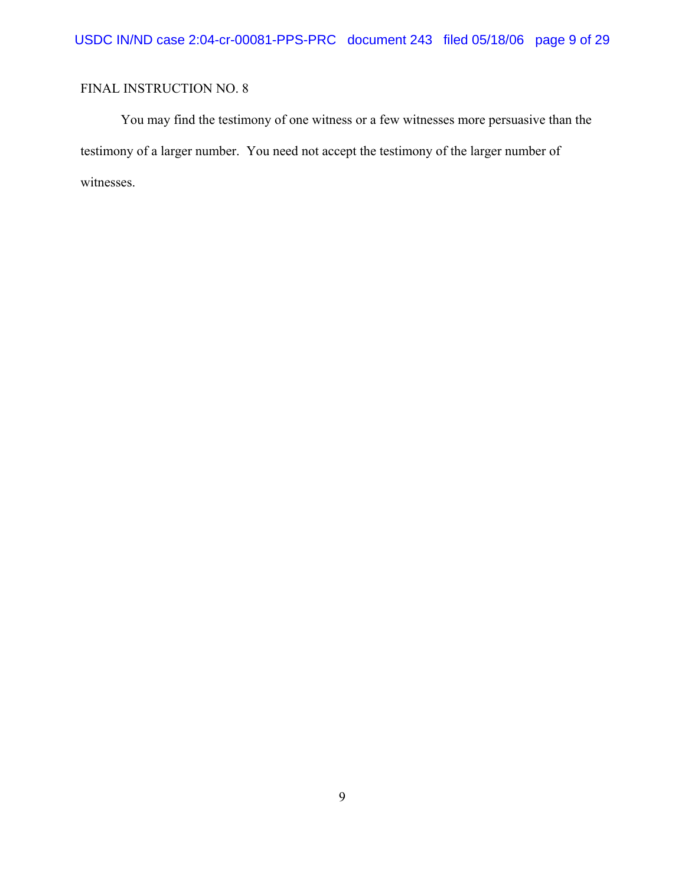You may find the testimony of one witness or a few witnesses more persuasive than the testimony of a larger number. You need not accept the testimony of the larger number of witnesses.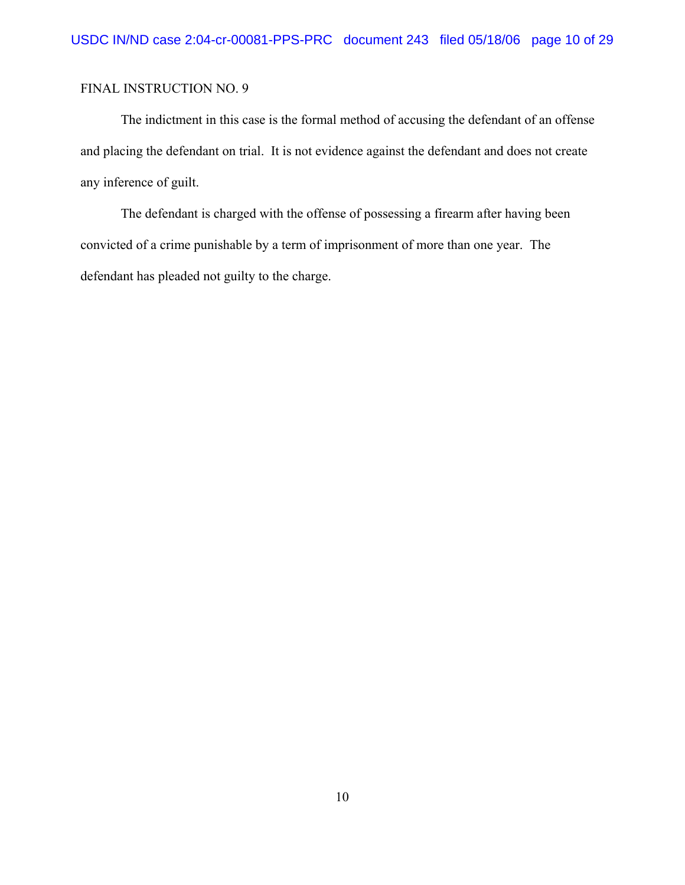The indictment in this case is the formal method of accusing the defendant of an offense and placing the defendant on trial. It is not evidence against the defendant and does not create any inference of guilt.

The defendant is charged with the offense of possessing a firearm after having been convicted of a crime punishable by a term of imprisonment of more than one year. The defendant has pleaded not guilty to the charge.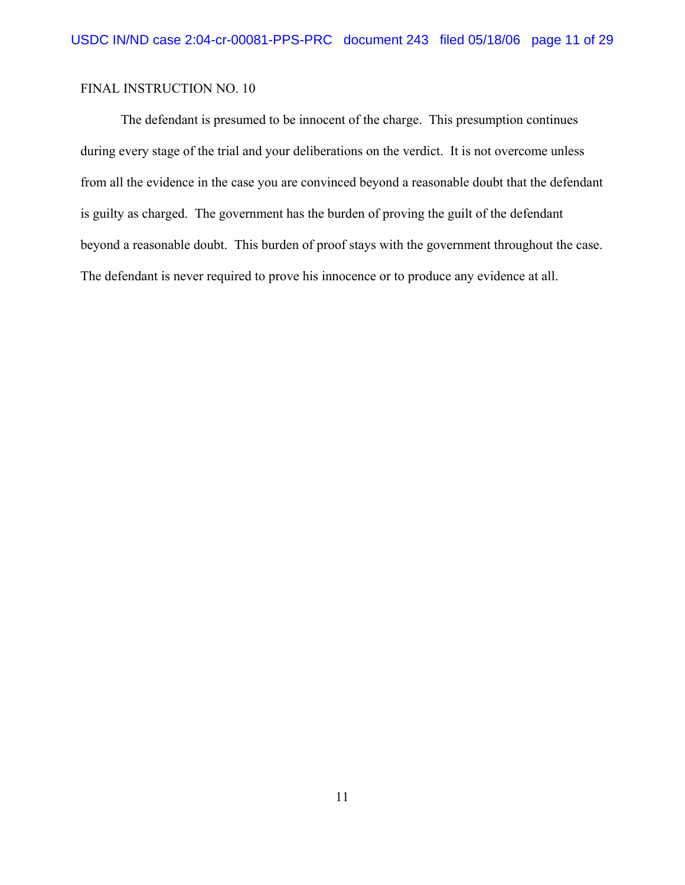The defendant is presumed to be innocent of the charge. This presumption continues during every stage of the trial and your deliberations on the verdict. It is not overcome unless from all the evidence in the case you are convinced beyond a reasonable doubt that the defendant is guilty as charged. The government has the burden of proving the guilt of the defendant beyond a reasonable doubt. This burden of proof stays with the government throughout the case. The defendant is never required to prove his innocence or to produce any evidence at all.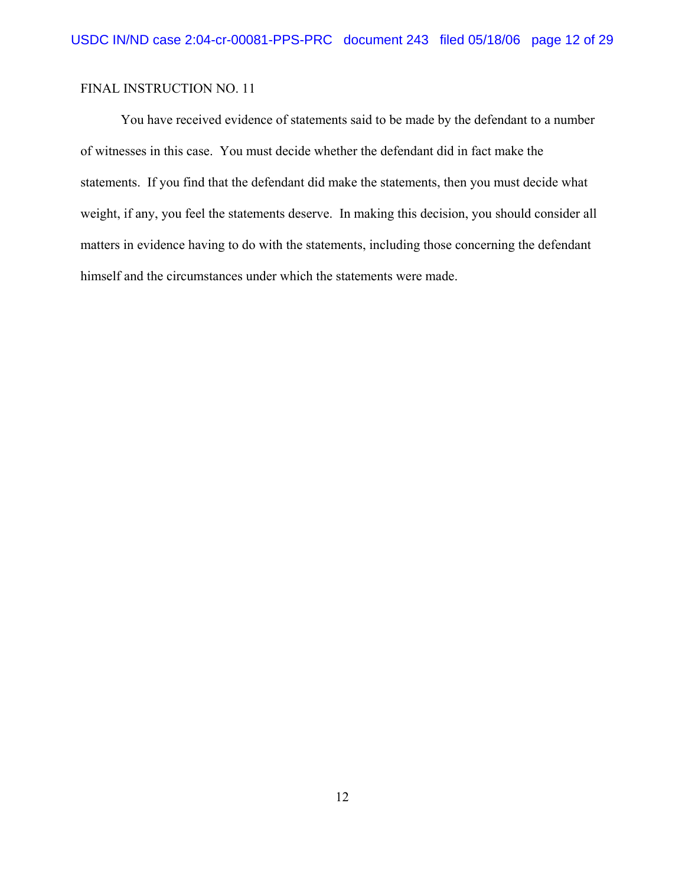You have received evidence of statements said to be made by the defendant to a number of witnesses in this case. You must decide whether the defendant did in fact make the statements. If you find that the defendant did make the statements, then you must decide what weight, if any, you feel the statements deserve. In making this decision, you should consider all matters in evidence having to do with the statements, including those concerning the defendant himself and the circumstances under which the statements were made.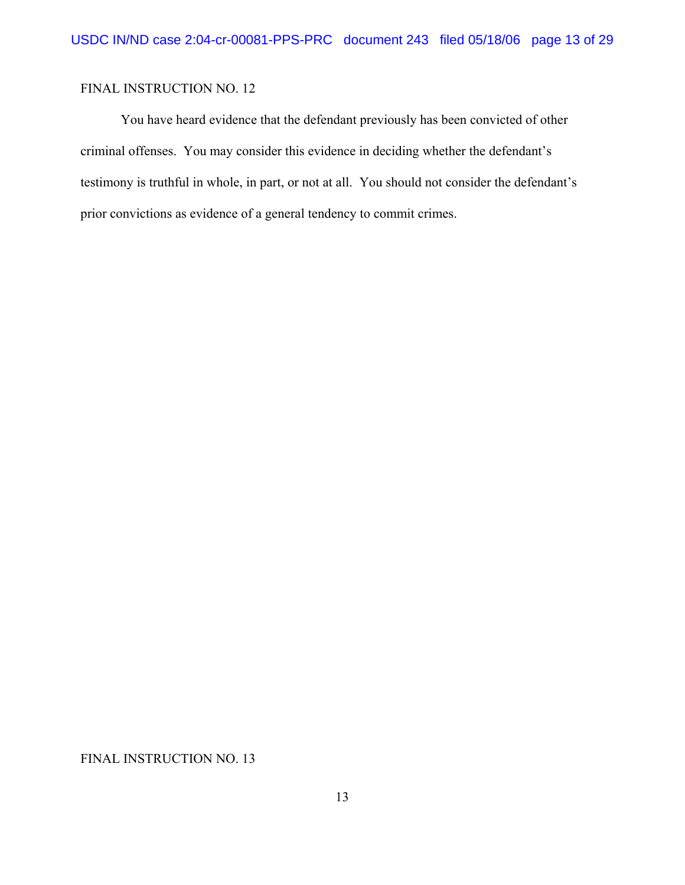You have heard evidence that the defendant previously has been convicted of other criminal offenses. You may consider this evidence in deciding whether the defendant's testimony is truthful in whole, in part, or not at all. You should not consider the defendant's prior convictions as evidence of a general tendency to commit crimes.

FINAL INSTRUCTION NO. 13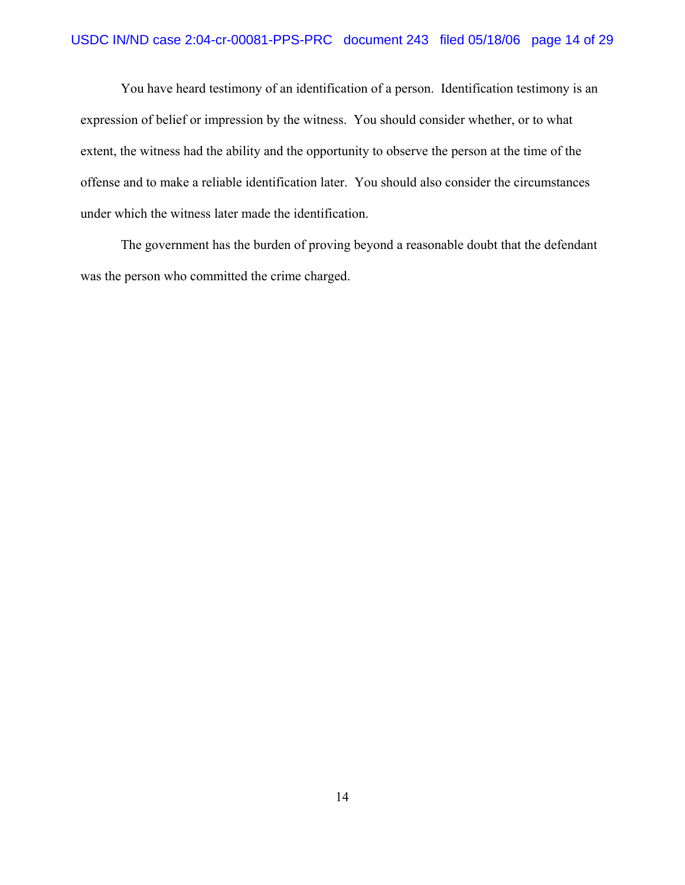You have heard testimony of an identification of a person. Identification testimony is an expression of belief or impression by the witness. You should consider whether, or to what extent, the witness had the ability and the opportunity to observe the person at the time of the offense and to make a reliable identification later. You should also consider the circumstances under which the witness later made the identification.

The government has the burden of proving beyond a reasonable doubt that the defendant was the person who committed the crime charged.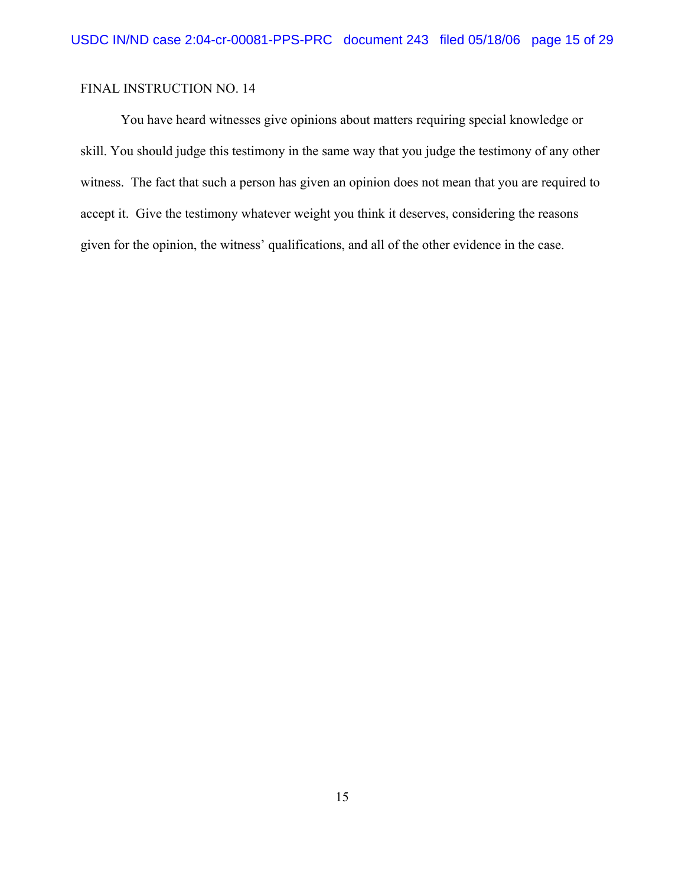You have heard witnesses give opinions about matters requiring special knowledge or skill. You should judge this testimony in the same way that you judge the testimony of any other witness. The fact that such a person has given an opinion does not mean that you are required to accept it. Give the testimony whatever weight you think it deserves, considering the reasons given for the opinion, the witness' qualifications, and all of the other evidence in the case.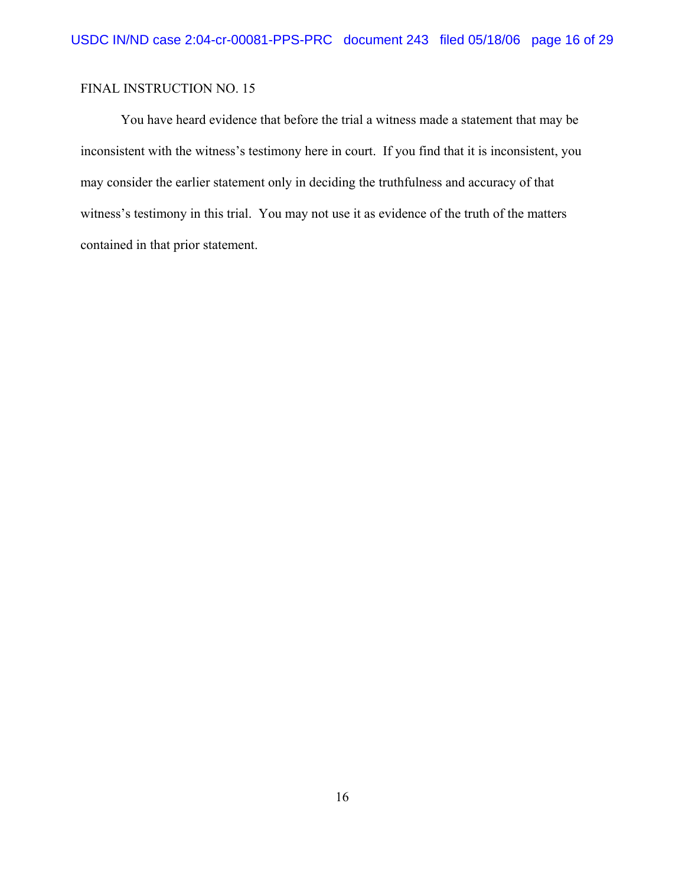You have heard evidence that before the trial a witness made a statement that may be inconsistent with the witness's testimony here in court. If you find that it is inconsistent, you may consider the earlier statement only in deciding the truthfulness and accuracy of that witness's testimony in this trial. You may not use it as evidence of the truth of the matters contained in that prior statement.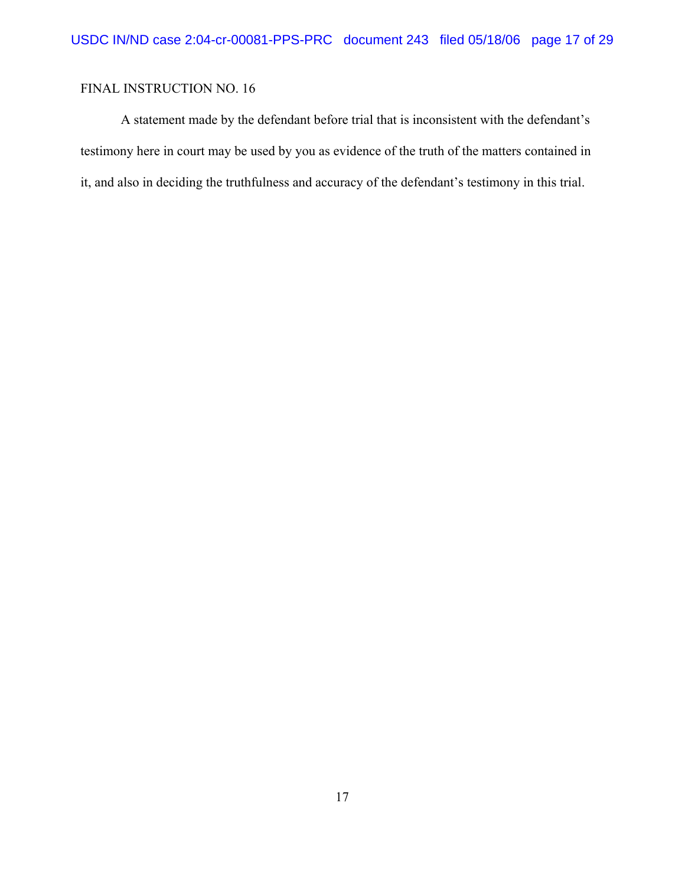A statement made by the defendant before trial that is inconsistent with the defendant's testimony here in court may be used by you as evidence of the truth of the matters contained in it, and also in deciding the truthfulness and accuracy of the defendant's testimony in this trial.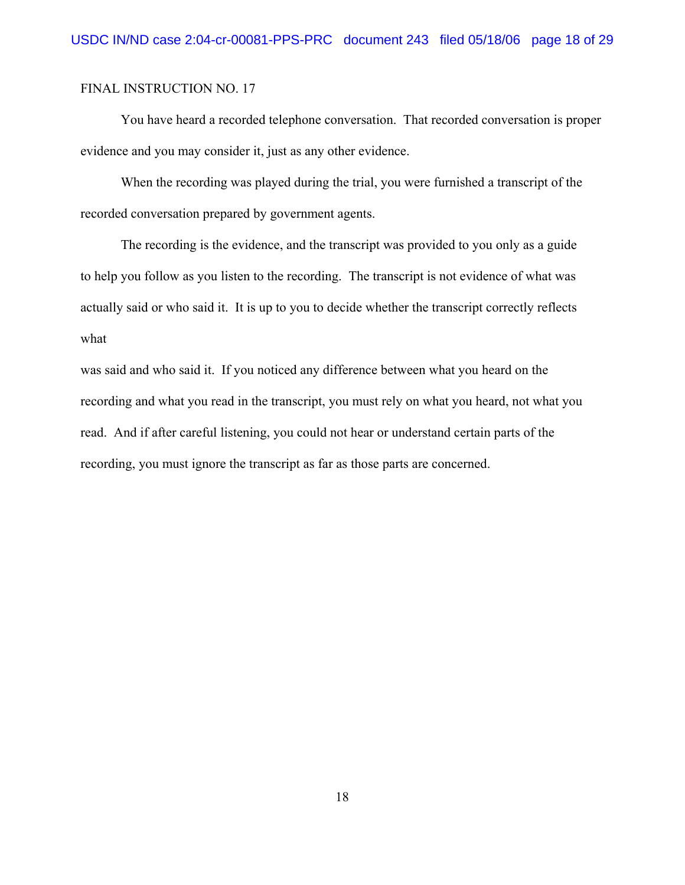You have heard a recorded telephone conversation. That recorded conversation is proper evidence and you may consider it, just as any other evidence.

When the recording was played during the trial, you were furnished a transcript of the recorded conversation prepared by government agents.

The recording is the evidence, and the transcript was provided to you only as a guide to help you follow as you listen to the recording. The transcript is not evidence of what was actually said or who said it. It is up to you to decide whether the transcript correctly reflects what

was said and who said it. If you noticed any difference between what you heard on the recording and what you read in the transcript, you must rely on what you heard, not what you read. And if after careful listening, you could not hear or understand certain parts of the recording, you must ignore the transcript as far as those parts are concerned.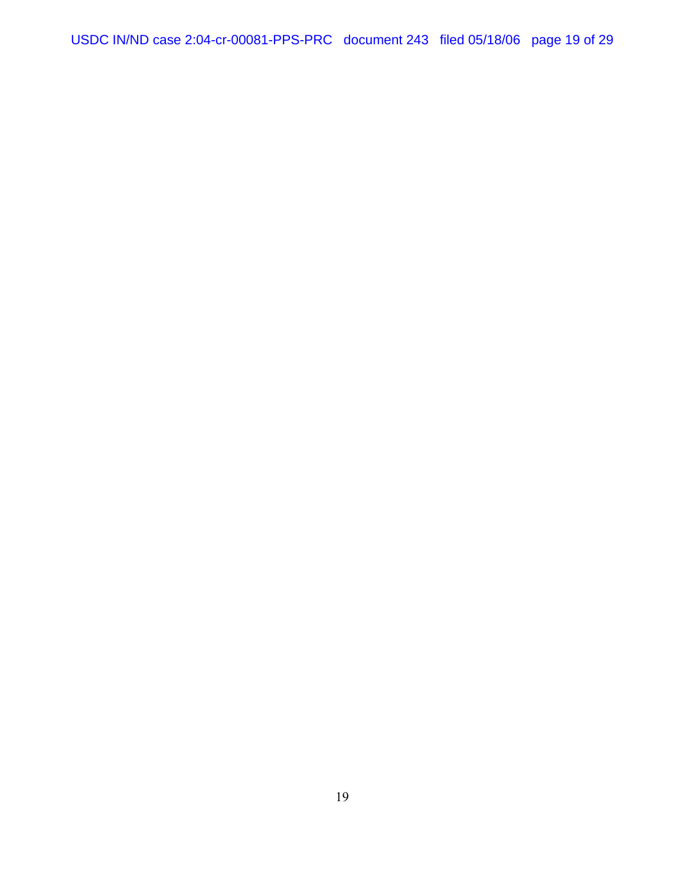USDC IN/ND case 2:04-cr-00081-PPS-PRC document 243 filed 05/18/06 page 19 of 29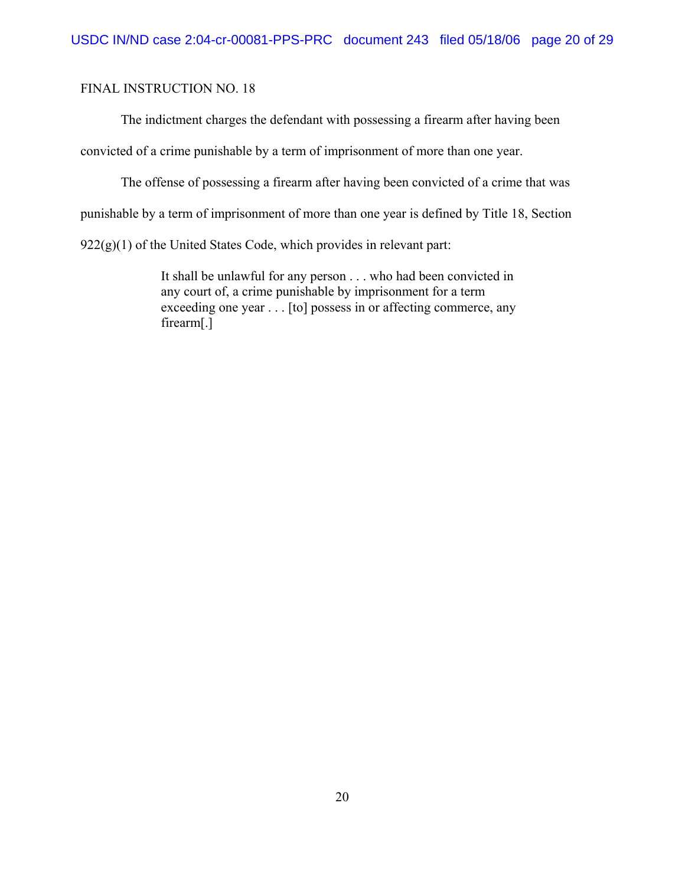The indictment charges the defendant with possessing a firearm after having been

convicted of a crime punishable by a term of imprisonment of more than one year.

The offense of possessing a firearm after having been convicted of a crime that was

punishable by a term of imprisonment of more than one year is defined by Title 18, Section

 $922(g)(1)$  of the United States Code, which provides in relevant part:

It shall be unlawful for any person . . . who had been convicted in any court of, a crime punishable by imprisonment for a term exceeding one year . . . [to] possess in or affecting commerce, any firearm[.]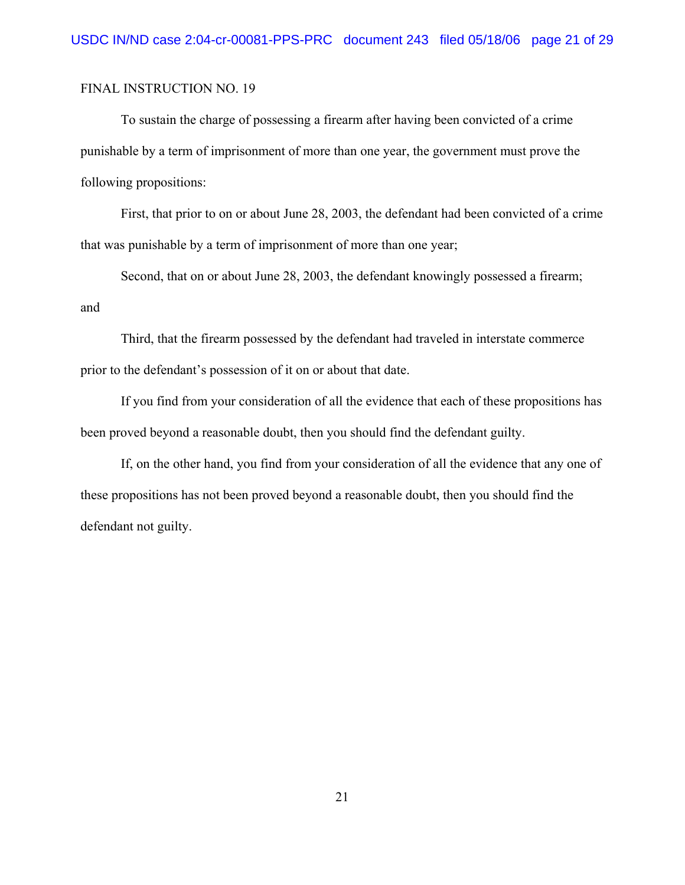To sustain the charge of possessing a firearm after having been convicted of a crime punishable by a term of imprisonment of more than one year, the government must prove the following propositions:

First, that prior to on or about June 28, 2003, the defendant had been convicted of a crime that was punishable by a term of imprisonment of more than one year;

Second, that on or about June 28, 2003, the defendant knowingly possessed a firearm; and

Third, that the firearm possessed by the defendant had traveled in interstate commerce prior to the defendant's possession of it on or about that date.

If you find from your consideration of all the evidence that each of these propositions has been proved beyond a reasonable doubt, then you should find the defendant guilty.

If, on the other hand, you find from your consideration of all the evidence that any one of these propositions has not been proved beyond a reasonable doubt, then you should find the defendant not guilty.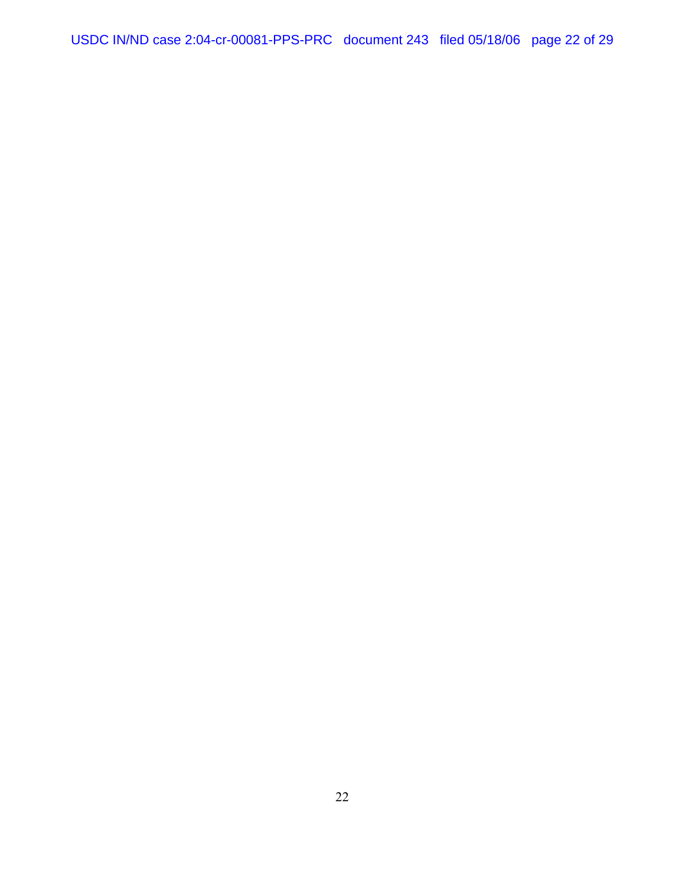USDC IN/ND case 2:04-cr-00081-PPS-PRC document 243 filed 05/18/06 page 22 of 29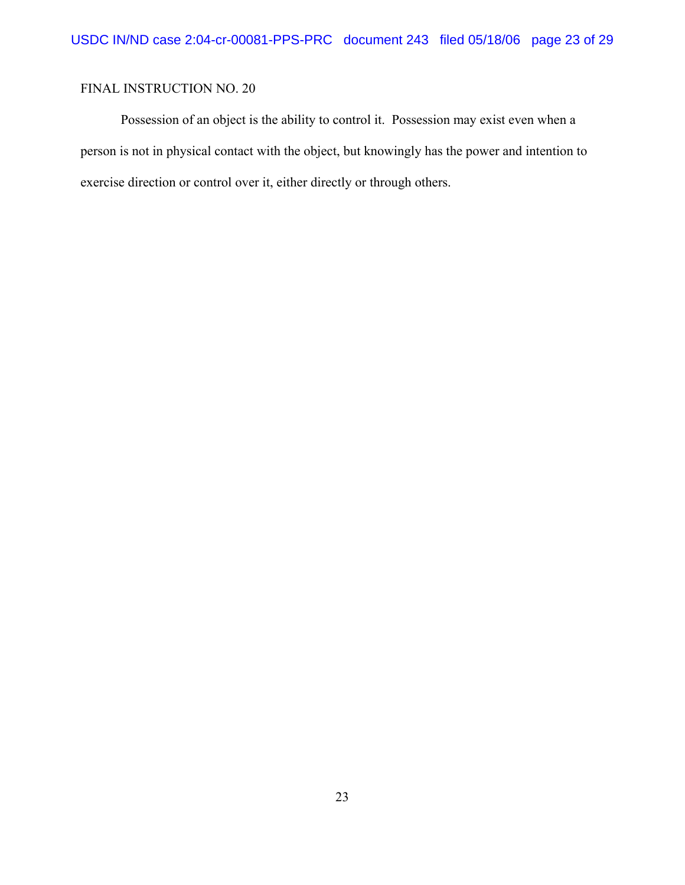Possession of an object is the ability to control it. Possession may exist even when a person is not in physical contact with the object, but knowingly has the power and intention to exercise direction or control over it, either directly or through others.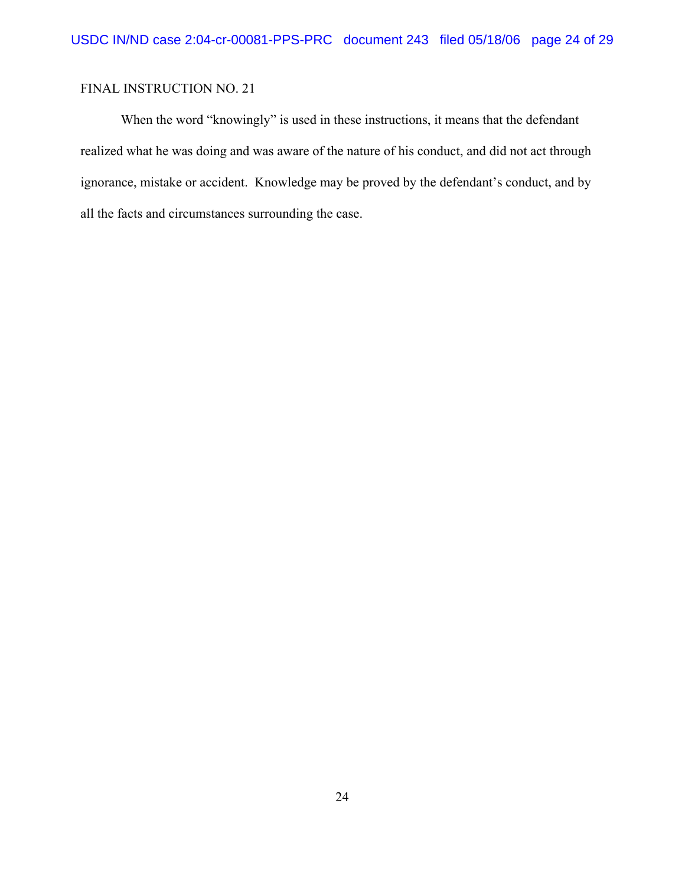When the word "knowingly" is used in these instructions, it means that the defendant realized what he was doing and was aware of the nature of his conduct, and did not act through ignorance, mistake or accident. Knowledge may be proved by the defendant's conduct, and by all the facts and circumstances surrounding the case.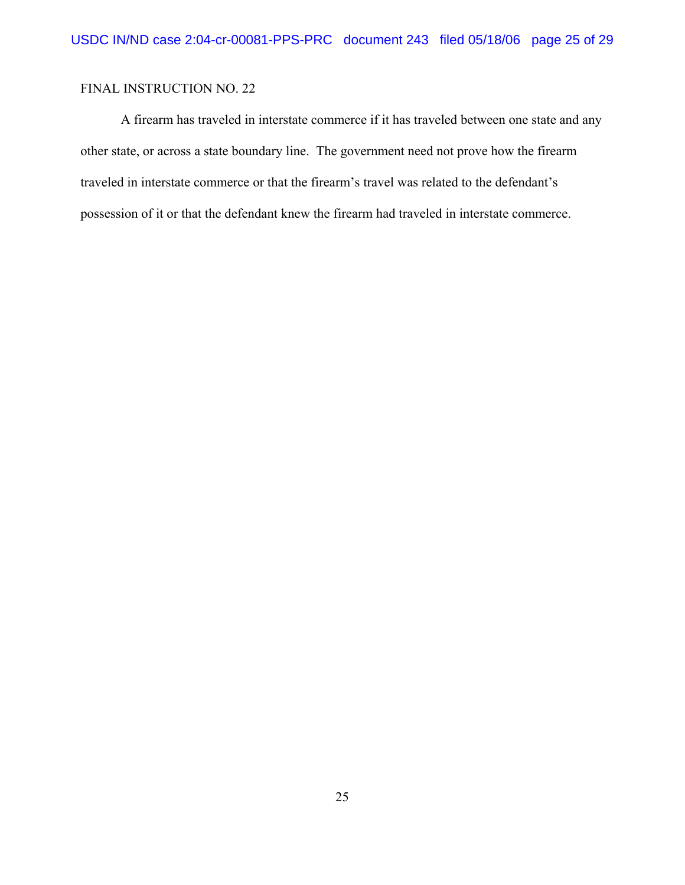A firearm has traveled in interstate commerce if it has traveled between one state and any other state, or across a state boundary line. The government need not prove how the firearm traveled in interstate commerce or that the firearm's travel was related to the defendant's possession of it or that the defendant knew the firearm had traveled in interstate commerce.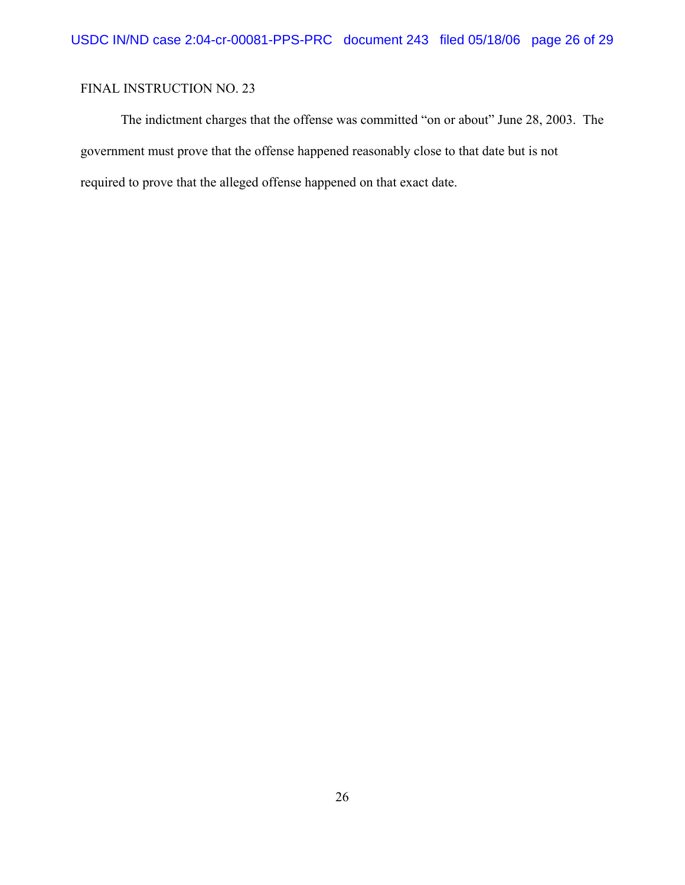The indictment charges that the offense was committed "on or about" June 28, 2003. The government must prove that the offense happened reasonably close to that date but is not required to prove that the alleged offense happened on that exact date.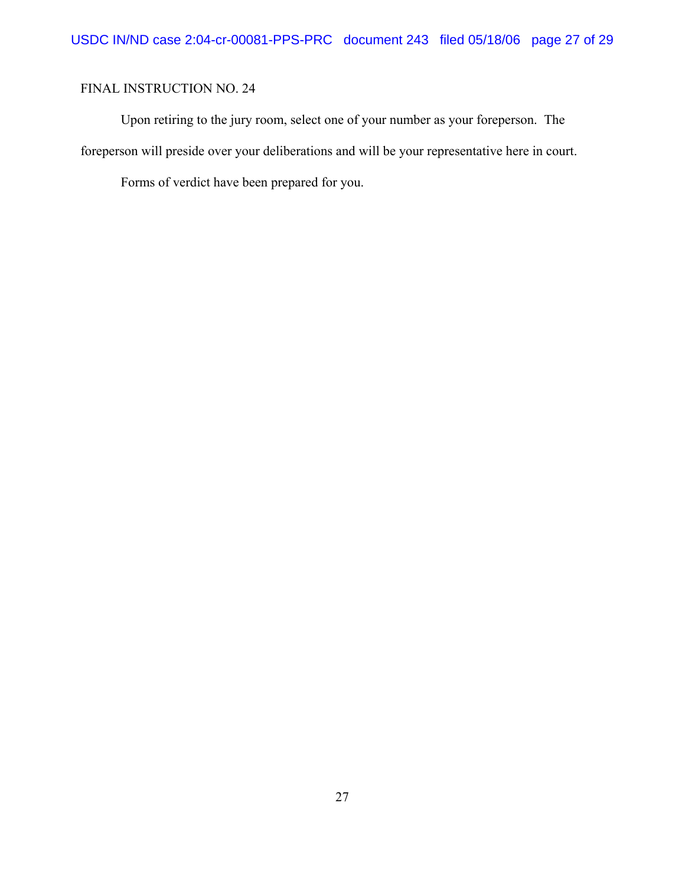Upon retiring to the jury room, select one of your number as your foreperson. The foreperson will preside over your deliberations and will be your representative here in court.

Forms of verdict have been prepared for you.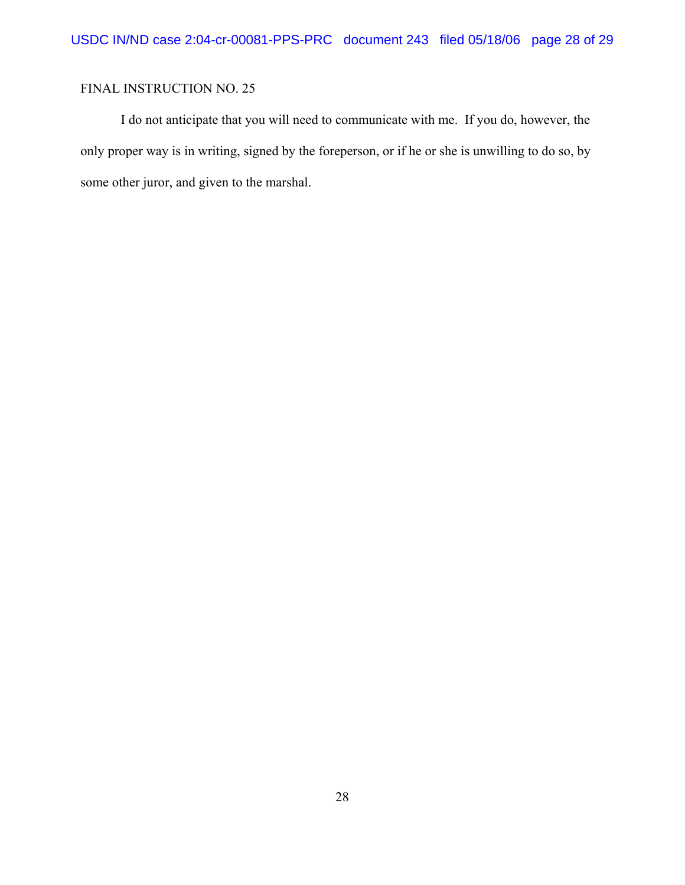I do not anticipate that you will need to communicate with me. If you do, however, the only proper way is in writing, signed by the foreperson, or if he or she is unwilling to do so, by some other juror, and given to the marshal.